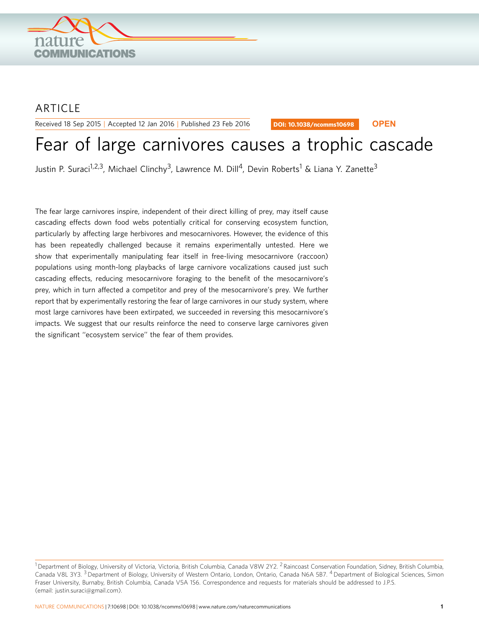

## **ARTICLE**

Received 18 Sep 2015 | Accepted 12 Jan 2016 | Published 23 Feb 2016

DOI: 10.1038/ncomms10698 **OPEN**

# Fear of large carnivores causes a trophic cascade

Justin P. Suraci<sup>1,2,3</sup>, Michael Clinchy<sup>3</sup>, Lawrence M. Dill<sup>4</sup>, Devin Roberts<sup>1</sup> & Liana Y. Zanette<sup>3</sup>

The fear large carnivores inspire, independent of their direct killing of prey, may itself cause cascading effects down food webs potentially critical for conserving ecosystem function, particularly by affecting large herbivores and mesocarnivores. However, the evidence of this has been repeatedly challenged because it remains experimentally untested. Here we show that experimentally manipulating fear itself in free-living mesocarnivore (raccoon) populations using month-long playbacks of large carnivore vocalizations caused just such cascading effects, reducing mesocarnivore foraging to the benefit of the mesocarnivore's prey, which in turn affected a competitor and prey of the mesocarnivore's prey. We further report that by experimentally restoring the fear of large carnivores in our study system, where most large carnivores have been extirpated, we succeeded in reversing this mesocarnivore's impacts. We suggest that our results reinforce the need to conserve large carnivores given the significant ''ecosystem service'' the fear of them provides.

 $^1$ Department of Biology, University of Victoria, Victoria, British Columbia, Canada V8W 2Y2. <sup>2</sup> Raincoast Conservation Foundation, Sidney, British Columbia, Canada V8L 3Y3. <sup>3</sup> Department of Biology, University of Western Ontario, London, Ontario, Canada N6A 5B7. <sup>4</sup> Department of Biological Sciences, Simon Fraser University, Burnaby, British Columbia, Canada V5A 1S6. Correspondence and requests for materials should be addressed to J.P.S. (email: [justin.suraci@gmail.com](mailto:justin.suraci@gmail.com)).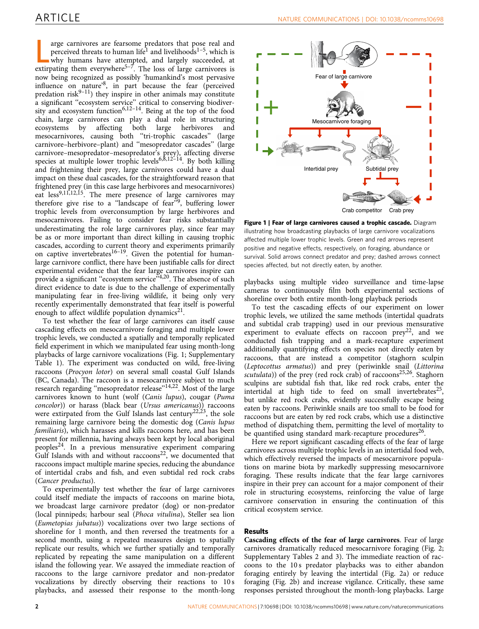<span id="page-1-0"></span>arge carnivores are fearsome predators that pose real and perceived threats to human life<sup>1</sup> and livelihoods<sup>1-5</sup>, which is why humans have attempted, and largely succeeded, at extirpating them everywhere<sup>[5–7](#page-6-0)</sup>. The loss o arge carnivores are fearsome predators that pose real and perceived threats to human life<sup>[1](#page-6-0)</sup> and livelihoods<sup>1-5</sup>, which is why humans have attempted, and largely succeeded, at now being recognized as possibly 'humankind's most pervasive influence on nature'[8,](#page-6-0) in part because the fear (perceived predation risk $9-11$ ) they inspire in other animals may constitute a significant ''ecosystem service'' critical to conserving biodiversity and ecosystem function<sup>6,12–14</sup>. Being at the top of the food chain, large carnivores can play a dual role in structuring ecosystems by affecting both large herbivores mesocarnivores, causing both ''tri-trophic cascades'' (large carnivore–herbivore–plant) and ''mesopredator cascades'' (large carnivore–mesopredator–mesopredator's prey), affecting diverse species at multiple lower trophic levels<sup>6,8,12-14</sup>. By both killing and frightening their prey, large carnivores could have a dual impact on these dual cascades, for the straightforward reason that frightened prey (in this case large herbivores and mesocarnivores) eat less<sup>9,11,12,15</sup>. The mere presence of large carnivores may therefore give rise to a "landscape of fear"<sup>[9](#page-6-0)</sup>, buffering lower trophic levels from overconsumption by large herbivores and mesocarnivores. Failing to consider fear risks substantially underestimating the role large carnivores play, since fear may be as or more important than direct killing in causing trophic cascades, according to current theory and experiments primarily on captive invertebrates<sup>16–19</sup>. Given the potential for humanlarge carnivore conflict, there have been justifiable calls for direct experimental evidence that the fear large carnivores inspire can provide a significant "ecosystem service"<sup>[4,20](#page-6-0)</sup>. The absence of such direct evidence to date is due to the challenge of experimentally manipulating fear in free-living wildlife, it being only very recently experimentally demonstrated that fear itself is powerful enough to affect wildlife population dynamics $21$ .

To test whether the fear of large carnivores can itself cause cascading effects on mesocarnivore foraging and multiple lower trophic levels, we conducted a spatially and temporally replicated field experiment in which we manipulated fear using month-long playbacks of large carnivore vocalizations (Fig. 1; Supplementary Table 1). The experiment was conducted on wild, free-living raccoons (Procyon lotor) on several small coastal Gulf Islands (BC, Canada). The raccoon is a mesocarnivore subject to much research regarding "mesopredator release"<sup>[14,22](#page-6-0)</sup>. Most of the large carnivores known to hunt (wolf (Canis lupus), cougar (Puma concolor)) or harass (black bear (Ursus americanus)) raccoons were extirpated from the Gulf Islands last century<sup>[22,23](#page-6-0)</sup>, the sole remaining large carnivore being the domestic dog (Canis lupus familiaris), which harasses and kills raccoons here, and has been present for millennia, having always been kept by local aboriginal peoples[24](#page-6-0). In a previous mensurative experiment comparing Gulf Islands with and without raccoons<sup>[22](#page-6-0)</sup>, we documented that raccoons impact multiple marine species, reducing the abundance of intertidal crabs and fish, and even subtidal red rock crabs (Cancer productus).

To experimentally test whether the fear of large carnivores could itself mediate the impacts of raccoons on marine biota, we broadcast large carnivore predator (dog) or non-predator (local pinnipeds; harbour seal (Phoca vitulina), Steller sea lion (Eumetopias jubatus)) vocalizations over two large sections of shoreline for 1 month, and then reversed the treatments for a second month, using a repeated measures design to spatially replicate our results, which we further spatially and temporally replicated by repeating the same manipulation on a different island the following year. We assayed the immediate reaction of raccoons to the large carnivore predator and non-predator vocalizations by directly observing their reactions to 10 s playbacks, and assessed their response to the month-long



Figure 1 | Fear of large carnivores caused a trophic cascade. Diagram illustrating how broadcasting playbacks of large carnivore vocalizations affected multiple lower trophic levels. Green and red arrows represent positive and negative effects, respectively, on foraging, abundance or survival. Solid arrows connect predator and prey; dashed arrows connect species affected, but not directly eaten, by another.

playbacks using multiple video surveillance and time-lapse cameras to continuously film both experimental sections of shoreline over both entire month-long playback periods

To test the cascading effects of our experiment on lower trophic levels, we utilized the same methods (intertidal quadrats and subtidal crab trapping) used in our previous mensurative experiment to evaluate effects on raccoon  $prey^{22}$ , and we conducted fish trapping and a mark-recapture experiment additionally quantifying effects on species not directly eaten by raccoons, that are instead a competitor (staghorn sculpin (Leptocottus armatus)) and prey (periwinkle snail (Littorina scutulata)) of the prey (red rock crab) of raccoons<sup>25,26</sup>. Staghorn sculpins are subtidal fish that, like red rock crabs, enter the intertidal at high tide to feed on small invertebrates<sup>25</sup>, but unlike red rock crabs, evidently successfully escape being eaten by raccoons. Periwinkle snails are too small to be food for raccoons but are eaten by red rock crabs, which use a distinctive method of dispatching them, permitting the level of mortality to be quantified using standard mark-recapture procedures<sup>[26](#page-6-0)</sup>.

Here we report significant cascading effects of the fear of large carnivores across multiple trophic levels in an intertidal food web, which effectively reversed the impacts of mesocarnivore populations on marine biota by markedly suppressing mesocarnivore foraging. These results indicate that the fear large carnivores inspire in their prey can account for a major component of their role in structuring ecosystems, reinforcing the value of large carnivore conservation in ensuring the continuation of this critical ecosystem service.

### Results

Cascading effects of the fear of large carnivores. Fear of large carnivores dramatically reduced mesocarnivore foraging ([Fig. 2;](#page-2-0) Supplementary Tables 2 and 3). The immediate reaction of raccoons to the 10 s predator playbacks was to either abandon foraging entirely by leaving the intertidal [\(Fig. 2a](#page-2-0)) or reduce foraging [\(Fig. 2b](#page-2-0)) and increase vigilance. Critically, these same responses persisted throughout the month-long playbacks. Large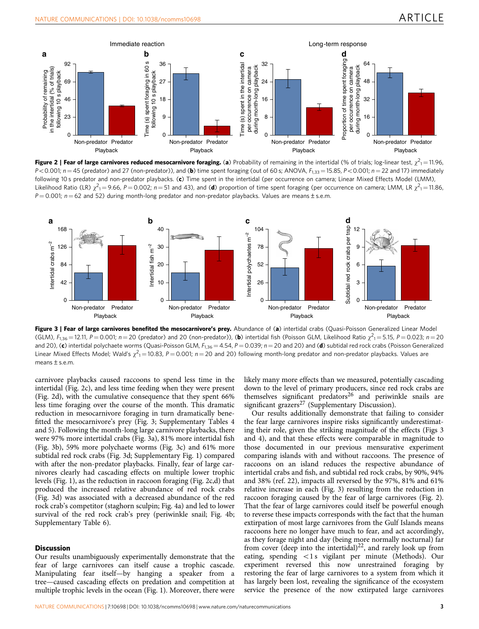<span id="page-2-0"></span>





Figure 3 | Fear of large carnivores benefited the mesocarnivore's prey. Abundance of (a) intertidal crabs (Quasi-Poisson Generalized Linear Model (GLM),  $F_{1,36} = 12.11$ ,  $P = 0.001$ ;  $n = 20$  (predator) and 20 (non-predator)), (b) intertidal fish (Poisson GLM, Likelihood Ratio  $\chi^2_1 = 5.15$ ,  $P = 0.023$ ;  $n = 20$ and 20), (c) intertidal polychaete worms (Quasi-Poisson GLM,  $F_{1,36} = 4.54$ ,  $P = 0.039$ ;  $n = 20$  and 20) and (d) subtidal red rock crabs (Poisson Generalized Linear Mixed Effects Model; Wald's  $\chi^2$ <sub>1</sub> = 10.83, P = 0.001; n = 20 and 20) following month-long predator and non-predator playbacks. Values are means  $\pm$  s.e.m.

carnivore playbacks caused raccoons to spend less time in the intertidal (Fig. 2c), and less time feeding when they were present (Fig. 2d), with the cumulative consequence that they spent 66% less time foraging over the course of the month. This dramatic reduction in mesocarnivore foraging in turn dramatically benefitted the mesocarnivore's prey (Fig. 3; Supplementary Tables 4 and 5). Following the month-long large carnivore playbacks, there were 97% more intertidal crabs (Fig. 3a), 81% more intertidal fish (Fig. 3b), 59% more polychaete worms (Fig. 3c) and 61% more subtidal red rock crabs (Fig. 3d; Supplementary Fig. 1) compared with after the non-predator playbacks. Finally, fear of large carnivores clearly had cascading effects on multiple lower trophic levels ([Fig. 1](#page-1-0)), as the reduction in raccoon foraging (Fig. 2c,d) that produced the increased relative abundance of red rock crabs (Fig. 3d) was associated with a decreased abundance of the red rock crab's competitor (staghorn sculpin; [Fig. 4a](#page-3-0)) and led to lower survival of the red rock crab's prey (periwinkle snail; [Fig. 4b;](#page-3-0) Supplementary Table 6).

### **Discussion**

Our results unambiguously experimentally demonstrate that the fear of large carnivores can itself cause a trophic cascade. Manipulating fear itself—by hanging a speaker from a tree—caused cascading effects on predation and competition at multiple trophic levels in the ocean [\(Fig. 1](#page-1-0)). Moreover, there were likely many more effects than we measured, potentially cascading down to the level of primary producers, since red rock crabs are themselves significant predators $^{26}$  $^{26}$  $^{26}$  and periwinkle snails are significant grazers<sup>[27](#page-6-0)</sup> (Supplementary Discussion).

Our results additionally demonstrate that failing to consider the fear large carnivores inspire risks significantly underestimating their role, given the striking magnitude of the effects (Figs 3 and 4), and that these effects were comparable in magnitude to those documented in our previous mensurative experiment comparing islands with and without raccoons. The presence of raccoons on an island reduces the respective abundance of intertidal crabs and fish, and subtidal red rock crabs, by 90%, 94% and 38% ([ref. 22\)](#page-6-0), impacts all reversed by the 97%, 81% and 61% relative increase in each (Fig. 3) resulting from the reduction in raccoon foraging caused by the fear of large carnivores (Fig. 2). That the fear of large carnivores could itself be powerful enough to reverse these impacts corresponds with the fact that the human extirpation of most large carnivores from the Gulf Islands means raccoons here no longer have much to fear, and act accordingly, as they forage night and day (being more normally nocturnal) far from cover (deep into the intertidal)<sup>[22](#page-6-0)</sup>, and rarely look up from eating, spending  $\langle 1s \rangle$  vigilant per minute (Methods). Our experiment reversed this now unrestrained foraging by restoring the fear of large carnivores to a system from which it has largely been lost, revealing the significance of the ecosystem service the presence of the now extirpated large carnivores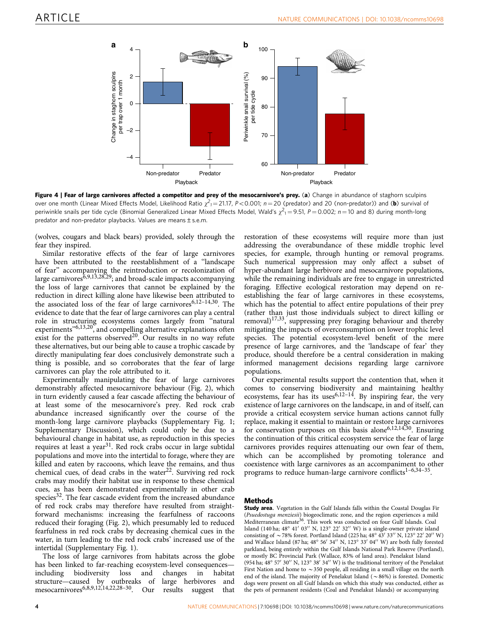<span id="page-3-0"></span>

Figure 4 | Fear of large carnivores affected a competitor and prey of the mesocarnivore's prey. (a) Change in abundance of staghorn sculpins over one month (Linear Mixed Effects Model, Likelihood Ratio  $\chi^2_{1}=$  21.17, P<0.001; n = 20 (predator) and 20 (non-predator)) and (b) survival of periwinkle snails per tide cycle (Binomial Generalized Linear Mixed Effects Model, Wald's  $\chi^2_{1}=$  9.51,  $P=$  0.002;  $n$   $=$  10 and 8) during month-long predator and non-predator playbacks. Values are means±s.e.m.

(wolves, cougars and black bears) provided, solely through the fear they inspired.

Similar restorative effects of the fear of large carnivores have been attributed to the reestablishment of a "landscape of fear'' accompanying the reintroduction or recolonization of large carnivores<sup>8,9,13,28,29</sup>; and broad-scale impacts accompanying the loss of large carnivores that cannot be explained by the reduction in direct killing alone have likewise been attributed to the associated loss of the fear of large carnivores<sup>6,12–14,30</sup>. The evidence to date that the fear of large carnivores can play a central role in structuring ecosystems comes largely from ''natural experiments"<sup>[6,13,20](#page-6-0)</sup>, and compelling alternative explanations often exist for the patterns observed<sup>[20](#page-6-0)</sup>. Our results in no way refute these alternatives, but our being able to cause a trophic cascade by directly manipulating fear does conclusively demonstrate such a thing is possible, and so corroborates that the fear of large carnivores can play the role attributed to it.

Experimentally manipulating the fear of large carnivores demonstrably affected mesocarnivore behaviour [\(Fig. 2](#page-2-0)), which in turn evidently caused a fear cascade affecting the behaviour of at least some of the mesocarnivore's prey. Red rock crab abundance increased significantly over the course of the month-long large carnivore playbacks (Supplementary Fig. 1; Supplementary Discussion), which could only be due to a behavioural change in habitat use, as reproduction in this species requires at least a year<sup>[31](#page-6-0)</sup>. Red rock crabs occur in large subtidal populations and move into the intertidal to forage, where they are killed and eaten by raccoons, which leave the remains, and thus chemical cues, of dead crabs in the water $^{22}$ . Surviving red rock crabs may modify their habitat use in response to these chemical cues, as has been demonstrated experimentally in other crab species<sup>32</sup>. The fear cascade evident from the increased abundance of red rock crabs may therefore have resulted from straightforward mechanisms: increasing the fearfulness of raccoons reduced their foraging ([Fig. 2](#page-2-0)), which presumably led to reduced fearfulness in red rock crabs by decreasing chemical cues in the water, in turn leading to the red rock crabs' increased use of the intertidal (Supplementary Fig. 1).

The loss of large carnivores from habitats across the globe has been linked to far-reaching ecosystem-level consequences including biodiversity loss and changes in habitat structure—caused by outbreaks of large herbivores and mesocarnivore[s6,8,9,12,14,22,28–30.](#page-6-0) Our results suggest that

restoration of these ecosystems will require more than just addressing the overabundance of these middle trophic level species, for example, through hunting or removal programs. Such numerical suppression may only affect a subset of hyper-abundant large herbivore and mesocarnivore populations, while the remaining individuals are free to engage in unrestricted foraging. Effective ecological restoration may depend on reestablishing the fear of large carnivores in these ecosystems, which has the potential to affect entire populations of their prey (rather than just those individuals subject to direct killing or removal)[17,33,](#page-6-0) suppressing prey foraging behaviour and thereby mitigating the impacts of overconsumption on lower trophic level species. The potential ecosystem-level benefit of the mere presence of large carnivores, and the 'landscape of fear' they produce, should therefore be a central consideration in making informed management decisions regarding large carnivore populations.

Our experimental results support the contention that, when it comes to conserving biodiversity and maintaining healthy ecosystems, fear has its uses  $6,12-14$ . By inspiring fear, the very existence of large carnivores on the landscape, in and of itself, can provide a critical ecosystem service human actions cannot fully replace, making it essential to maintain or restore large carnivores for conservation purposes on this basis alone<sup>6,12,14,30</sup>. Ensuring the continuation of this critical ecosystem service the fear of large carnivores provides requires attenuating our own fear of them, which can be accomplished by promoting tolerance and coexistence with large carnivores as an accompaniment to other programs to reduce human-large carnivore conflicts<sup>1-6,34-35</sup>.

### Methods

Study area. Vegetation in the Gulf Islands falls within the Coastal Douglas Fir (Psuedostuga menziesii) biogeoclimatic zone, and the region experiences a mild Mediterranean climate<sup>36</sup>. This work was conducted on four Gulf Islands. Coal Island (140 ha; 48° 41' 03" N, 123° 22' 32" W) is a single-owner private island consisting of  $\sim$  78% forest. Portland Island (225 ha; 48° 43′ 33″ N, 123° 22′ 20″ W) and Wallace Island (87 ha;  $48^{\circ}$  56' 34" N,  $123^{\circ}$  33' 04" W) are both fully forested parkland, being entirely within the Gulf Islands National Park Reserve (Portland), or mostly BC Provincial Park (Wallace, 83% of land area). Penelakut Island (954 ha; 48° 57' 30" N, 123° 38' 34" W) is the traditional territory of the Penelakut First Nation and home to  $\sim$  350 people, all residing in a small village on the north end of the island. The majority of Penelakut Island ( $\sim$  86%) is forested. Domestic dogs were present on all Gulf Islands on which this study was conducted, either as the pets of permanent residents (Coal and Penelakut Islands) or accompanying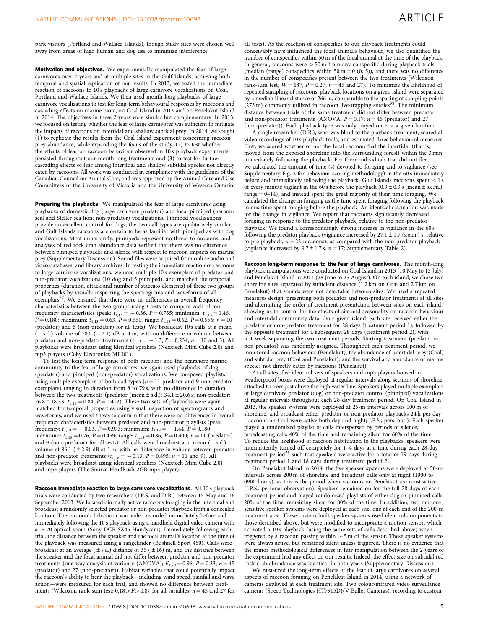park visitors (Portland and Wallace Islands), though study sites were chosen well away from areas of high human and dog use to minimize interference.

**Motivation and objectives.** We experimentally manipulated the fear of large carnivores over 2 years and at multiple sites in the Gulf Islands, achieving both temporal and spatial replication of our results. In 2013, we tested the immediate reaction of raccoons to 10 s playbacks of large carnivore vocalizations on Coal, Portland and Wallace Islands. We then used month-long playbacks of large carnivore vocalizations to test for long-term behavioural responses by raccoons and cascading effects on marine biota, on Coal Island in 2013 and on Penelakut Island in 2014. The objectives in these 2 years were similar but complementary. In 2013, we focused on testing whether the fear of large carnivores was sufficient to mitigate the impacts of raccoons on intertidal and shallow subtidal prey. In 2014, we sought (1) to replicate the results from the Coal Island experiment concerning raccoon prey abundance, while expanding the focus of the study, (2) to test whether the effects of fear on raccoon behaviour observed in 10 s playback experiments persisted throughout our month-long treatments and (3) to test for further cascading effects of fear among intertidal and shallow subtidal species not directly eaten by raccoons. All work was conducted in compliance with the guidelines of the Canadian Council on Animal Care, and was approved by the Animal Care and Use Committees of the University of Victoria and the University of Western Ontario.

Preparing the playbacks. We manipulated the fear of large carnivores using playbacks of domestic dog (large carnivore predator) and local pinniped (harbour seal and Steller sea lion; non-predator) vocalizations. Pinniped vocalizations provide an excellent control for dogs; the two call types are qualitatively similar, and Gulf Islands raccoons are certain to be as familiar with pinniped as with dog vocalizations. Most importantly, pinnipeds represent no threat to raccoons, and analyses of red rock crab abundance data verified that there was no difference between pinniped playbacks and silence with respect to raccoon impacts on marine prey (Supplementary Discussion). Sound files were acquired from online audio and video databases, and library archives. In testing the immediate reaction of raccoons to large carnivore vocalizations, we used multiple 10 s exemplars of predator and non-predator vocalizations (10 dog and 5 pinniped), and matched the temporal properties (duration, attack and number of staccato elements) of these two groups of playbacks by visually inspecting the spectrograms and waveforms of all exemplars<sup>37</sup>. We ensured that there were no differences in overall frequency characteristics between the two groups using t-tests to compare each of four frequency characteristics (peak:  $t_{1,13} = -0.36$ ,  $P = 0.735$ ; minimum:  $t_{1,13} = 1.46$ ,  $P = 0.180$ ; maximum:  $t_{1,13} = 0.63$ ,  $P = 0.551$ ; range:  $t_{1,13} = 0.62$ ,  $P = 0.556$ ;  $n = 10$ (predator) and 5 (non-predator) for all tests). We broadcast 10 s calls at a mean  $(\pm s.d.)$  volume of 78.0  $(\pm 2.1)$  dB at 1 m, with no difference in volume between predator and non-predator treatments  $(t_{1,13} = -1.3, P = 0.234; n = 10 \text{ and } 5)$ . All playbacks were broadcast using identical speakers (Nexxtech Mini Cube 2.0) and mp3 players (Coby Electronics MP301).

To test the long-term response of both raccoons and the nearshore marine community to the fear of large carnivores, we again used playbacks of dog (predator) and pinniped (non-predator) vocalizations. We composed playlists using multiple exemplars of both call types ( $n = 11$  predator and 9 non-predator exemplars) ranging in duration from 8 to 79 s, with no difference in duration between the two treatments (predator (mean  $\pm$  s.d.): 34.1  $\pm$  20.6 s; non-predator: 26.8 ± 18.3 s;  $t_{1,18} = 0.84$ ,  $P = 0.412$ ). These two sets of playbacks were again matched for temporal properties using visual inspection of spectrograms and waveforms, and we used t-tests to confirm that there were no differences in overall frequency characteristics between predator and non-predator playlists (peak frequency:  $t_{1,18} = -0.03$ ,  $P = 0.973$ ; minimum:  $t_{1,18} = -1.44$ ,  $P = 0.180$ ; maximum:  $t_{1,18} = 0.76$ ,  $P = 0.459$ ; range:  $t_{1,18} = 0.86$ ,  $P = 0.400$ ;  $n = 11$  (predator) and 9 (non-predator) for all tests). All calls were broadcast at a mean  $(\pm s.d.)$ volume of 86.1 ( $\pm$  2.9) dB at 1 m, with no difference in volume between predator and non-predator treatments ( $t_{1,18} = -0.13$ ,  $P = 0.895$ ;  $n = 11$  and 9). All playbacks were broadcast using identical speakers (Nexxtech Mini Cube 2.0) and mp3 players (The Source HeadRush 2GB mp3 player).

Raccoon immediate reaction to large carnivore vocalizations. All 10 s playback trials were conducted by two researchers (J.P.S. and D.R.) between 15 May and 16 September 2013. We located diurnally active raccoons foraging in the intertidal and broadcast a randomly selected predator or non-predator playback from a concealed location. The raccoon's behaviour was video recorded immediately before and immediately following the 10 s playback using a handheld digital video camera with  $a \times 70$  optical zoom (Sony DCR-SX45 Handycam). Immediately following each trial, the distance between the speaker and the focal animal's location at the time of the playback was measured using a rangefinder (Bushnell Sport 450). Calls were broadcast at an average ( $\pm$  s.d.) distance of 35 ( $\pm$  16) m, and the distance between the speaker and the focal animal did not differ between predator and non-predator treatments (one-way analysis of variance (ANOVA);  $F_{1,70} = 0.96$ ,  $P = 0.33$ ;  $n = 45$ (predator) and 27 (non-predator)). Habitat variables that could potentially impact the raccoon's ability to hear the playback—including wind speed, rainfall and wave action—were measured for each trial, and showed no difference between treatments (Wilcoxon rank-sum test;  $0.18 > P > 0.87$  for all variables;  $n = 45$  and 27 for

all tests). As the reaction of conspecifics to our playback treatments could conceivably have influenced the focal animal's behaviour, we also quantified the number of conspecifics within 50 m of the focal animal at the time of the playback. In general, raccoons were  $>50$  m from any conspecific during playback trials (median (range) conspecifics within 50 m = 0 (0, 5)), and there was no difference in the number of conspecifics present between the two treatments (Wilcoxon rank-sum test,  $W = 687$ ,  $P = 0.27$ ,  $n = 45$  and 27). To minimize the likelihood of repeated sampling of raccoons, playback locations on a given island were separated by a median linear distance of 266 m, comparable to the spacing of sampling points<br>(273 m) commonly utilized in raccoon live-trapping studies<sup>[38](#page-6-0)</sup>. The minimum distance between trials of the same treatment did not differ between predator and non-predator treatments (ANOVA;  $P = 0.17$ ;  $n = 45$  (predator) and 27 (non-predator)). Each playback type was only played once at a given location.

A single researcher (D.R.), who was blind to the playback treatment, scored all video recordings of 10 s playback trials, and estimated three behavioural measures. First, we scored whether or not the focal raccoon fled the intertidal (that is, moved from the exposed shoreline into the surrounding forest) within the 3 min immediately following the playback. For those individuals that did not flee, we calculated the amount of time (s) devoted to foraging and to vigilance (see Supplementary Fig. 2 for behaviour scoring methodology) in the 60 s immediately before and immediately following the playback. Gulf Islands raccoons spent  $\lt 1$  s of every minute vigilant in the 60 s before the playback (0.9  $\pm$  0.3 s (mean  $\pm$  s.e.m.), range  $= 0-14$ ), and instead spent the great majority of their time foraging. We calculated the change in foraging as the time spent foraging following the playback minus time spent foraging before the playback. An identical calculation was made for the change in vigilance. We report that raccoons significantly decreased foraging in response to the predator playback, relative to the non-predator playback. We found a correspondingly strong increase in vigilance in the 60 s following the predator playback (vigilance increased by  $27.1 \pm 1.7$  (s.e.m.) s, relative to pre-playback,  $n = 22$  raccoons), as compared with the non-predator playback (vigilance increased by  $9.7 \pm 1.7$  s,  $n = 17$ ; Supplementary Table 2).

Raccoon long-term response to the fear of large carnivores. The month-long playback manipulations were conducted on Coal Island in 2013 (10 May to 13 July) and Penelakut Island in 2014 (28 June to 25 August). On each island, we chose two shoreline sites separated by sufficient distance (1.2 km on Coal and 2.7 km on Penelakut) that sounds were not detectable between sites. We used a repeated measures design, presenting both predator and non-predator treatments at all sites and alternating the order of treatment presentation between sites on each island, allowing us to control for the effects of site and seasonality on raccoon behaviour and intertidal community data. On a given island, each site received either the predator or non-predator treatment for 28 days (treatment period 1), followed by the opposite treatment for a subsequent 28 days (treatment period 2), with  $<$  1 week separating the two treatment periods. Starting treatment (predator or non-predator) was randomly assigned. Throughout each treatment period, we monitored raccoon behaviour (Penelakut), the abundance of intertidal prey (Coal) and subtidal prey (Coal and Penelakut), and the survival and abundance of marine species not directly eaten by raccoons (Penelakut).

At all sites, five identical sets of speakers and mp3 players housed in weatherproof boxes were deployed at regular intervals along sections of shoreline, attached to trees just above the high water line. Speakers played multiple exemplars of large carnivore predator (dog) or non-predator control (pinniped) vocalizations at regular intervals throughout each 28-day treatment period. On Coal Island in 2013, the speaker systems were deployed at 25-m intervals across 100 m of shoreline, and broadcast either predator or non-predator playbacks 24 h per day (raccoons on Coal were active both day and night; J.P.S., pers. obs.). Each speaker played a randomized playlist of calls interspersed by periods of silence, broadcasting calls 40% of the time and remaining silent for 60% of the time. To reduce the likelihood of raccoon habituation to the playbacks, speakers were intermittently turned off completely for 1–4 days at a time during each 28-day treatment period<sup>[21](#page-6-0)</sup> such that speakers were active for a total of 19 days during treatment period 1 and 18 days during treatment period 2.

On Penelakut Island in 2014, the five speaker systems were deployed at 50-m intervals across 200 m of shoreline and broadcast calls only at night (1900 to 0900 hours), as this is the period when raccoons on Penelakut are most active (J.P.S., personal observation). Speakers remained on for the full 28 days of each treatment period and played randomized playlists of either dog or pinniped calls 20% of the time, remaining silent for 80% of the time. In addition, two motionsensitive speaker systems were deployed at each site, one at each end of the 200-m treatment area. These custom-built speaker systems used identical components to those described above, but were modified to incorporate a motion sensor, which activated a 10 s playback (using the same sets of calls described above) when triggered by a raccoon passing within  $\sim$  5 m of the sensor. These speaker systems were always active, but remained silent unless triggered. There is no evidence that the minor methodological differences in fear manipulation between the 2 years of the experiment had any effect on our results. Indeed, the effect size on subtidal red rock crab abundance was identical in both years (Supplementary Discussion).

We measured the long-term effects of the fear of large carnivores on several aspects of raccoon foraging on Penelakut Island in 2014, using a network of cameras deployed at each treatment site. Two colour/infrared video surveillance cameras (Speco Technologies HT7915DNV Bullet Cameras), recording to custom-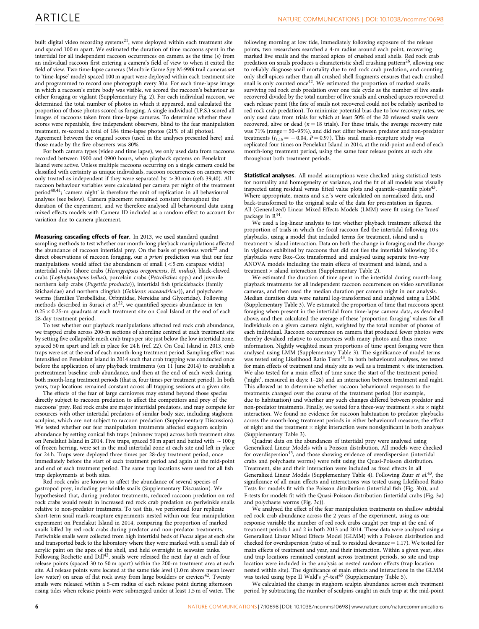built digital video recording systems<sup>21</sup>, were deployed within each treatment site and spaced 100 m apart. We estimated the duration of time raccoons spent in the intertidal for all independent raccoon occurrences on camera as the time (s) from an individual raccoon first entering a camera's field of view to when it exited the field of view. Two time-lapse cameras (Moultrie Game Spy M-990i trail cameras set to 'time-lapse' mode) spaced 100 m apart were deployed within each treatment site and programmed to record one photograph every 30 s. For each time-lapse image in which a raccoon's entire body was visible, we scored the raccoon's behaviour as either foraging or vigilant (Supplementary Fig. 2). For each individual raccoon, we determined the total number of photos in which it appeared, and calculated the proportion of those photos scored as foraging. A single individual (J.P.S.) scored all images of raccoons taken from time-lapse cameras. To determine whether these scores were repeatable, five independent observers, blind to the fear manipulation treatment, re-scored a total of 184 time-lapse photos (21% of all photos). Agreement between the original scores (used in the analyses presented here) and those made by the five observers was 80%.

For both camera types (video and time lapse), we only used data from raccoons recorded between 1900 and 0900 hours, when playback systems on Penelakut Island were active. Unless multiple raccoons occurring on a single camera could be classified with certainty as unique individuals, raccoon occurrences on camera were only treated as independent if they were separated by  $> 30$  min ([refs 39,40\)](#page-6-0). All raccoon behaviour variables were calculated per camera per night of the treatment period[40,41;](#page-6-0) 'camera night' is therefore the unit of replication in all behavioural analyses (see below). Camera placement remained constant throughout the duration of the experiment, and we therefore analysed all behavioural data using mixed effects models with Camera ID included as a random effect to account for variation due to camera placement.

Measuring cascading effects of fear. In 2013, we used standard quadrat sampling methods to test whether our month-long playback manipulations affected the abundance of raccoon intertidal prey. On the basis of previous work<sup>[22](#page-6-0)</sup> and direct observations of raccoon foraging, our a priori prediction was that our fear manipulations would affect the abundances of small  $\zeta$  < 5 cm carapace width) intertidal crabs (shore crabs (Hemigrapsus oregonensis, H. nudus), black-clawed crabs (Lophopanopeus bellus), porcelain crabs (Petrolisthes spp.) and juvenile northern kelp crabs (Pugettia producta)), intertidal fish (pricklebacks (family Stichaeidae) and northern clingfish (Gobiesox maeandricus)), and polychaete worms (families Terebellidae, Orbiniidae, Nereidae and Glyceridae). Following methods described in Suraci et al.<sup>22</sup>, we quantified species abundance in ten  $0.25 \times 0.25$ -m quadrats at each treatment site on Coal Island at the end of each 28-day treatment period.

To test whether our playback manipulations affected red rock crab abundance, we trapped crabs across 200-m sections of shoreline centred at each treatment site by setting five collapsible mesh crab traps per site just below the low intertidal zone, spaced 50 m apart and left in place for 24 h ([ref. 22\)](#page-6-0). On Coal Island in 2013, crab traps were set at the end of each month-long treatment period. Sampling effort was intensified on Penelakut Island in 2014 such that crab trapping was conducted once before the application of any playback treatments (on 11 June 2014) to establish a pretreatment baseline crab abundance, and then at the end of each week during both month-long treatment periods (that is, four times per treatment period). In both years, trap locations remained constant across all trapping sessions at a given site.

The effects of the fear of large carniovres may extend beyond those species directly subject to raccoon predation to affect the competitors and prey of the raccoons' prey. Red rock crabs are major intertidal predators, and may compete for resources with other intertidal predators of similar body size, including staghorn sculpins, which are not subject to raccoon predation (Supplementary Discussion). We tested whether our fear manipulation treatments affected staghorn sculpin abundance by setting conical fish traps (minnow traps) across both treatment sites on Penelakut Island in 2014. Five traps, spaced 50 m apart and baited with  $\sim$  100 g of frozen herring, were set in the mid intertidal zone at each site and left in place for 24 h. Traps were deployed three times per 28-day treatment period, once immediately before the start of each treatment period and again at the mid-point and end of each treatment period. The same trap locations were used for all fish trap deployments at both sites.

Red rock crabs are known to affect the abundance of several species of gastropod prey, including periwinkle snails (Supplementary Discussion). We hypothesized that, during predator treatments, reduced raccoon predation on red rock crabs would result in increased red rock crab predation on periwinkle snails relative to non-predator treatments. To test this, we performed four replicate short-term snail mark-recapture experiments nested within our fear manipulation experiment on Penelakut Island in 2014, comparing the proportion of marked snails killed by red rock crabs during predator and non-predator treatments. Periwinkle snails were collected from high intertidal beds of Fucus algae at each site and transported back to the laboratory where they were marked with a small dab of acrylic paint on the apex of the shell, and held overnight in seawater tanks. Following Rochette and Dill<sup>42</sup>, snails were released the next day at each of four release points (spaced 30 to 50 m apart) within the 200-m treatment area at each site. All release points were located at the same tide level (1.0 m above mean lower low water) on areas of flat rock away from large boulders or crevices<sup>[42](#page-6-0)</sup>. Twenty snails were released within a 5-cm radius of each release point during afternoon rising tides when release points were submerged under at least 1.5 m of water. The

following morning at low tide, immediately following exposure of the release points, two researchers searched a 4-m radius around each point, recovering marked live snails and the marked apices of crushed snail shells. Red rock crab predation on snails produces a characteristic shell crushing pattern<sup>26</sup>, allowing one to reliably diagnose snail mortality due to red rock crab predation, and counting only shell apices rather than all crushed shell fragments ensures that each crushed snails<br>snail is only counted once<sup>[42](#page-6-0)</sup>. We estimated the proportion of marked snails surviving red rock crab predation over one tide cycle as the number of live snails recovered divided by the total number of live snails and crushed apices recovered at each release point (the fate of snails not recovered could not be reliably ascribed to red rock crab predation). To minimize potential bias due to low recovery rates, we only used data from trials for which at least 50% of the 20 released snails were recovered, alive or dead ( $n = 18$  trials). For these trials, the average recovery rate was  $71\%$  (range  $= 50-95\%$ ), and did not differ between predator and non-predator treatments  $(t_{1,16} = -0.04, P = 0.97)$ . This snail mark-recapture study was replicated four times on Penelakut Island in 2014, at the mid-point and end of each month-long treatment period, using the same four release points at each site throughout both treatment periods.

Statistical analyses. All model assumptions were checked using statistical tests for normality and homogeneity of variance, and the fit of all models was visually inspected using residual versus fitted value plots and quantile-quantile plots<sup>4</sup> Where appropriate, means and s.e.'s were calculated on normalized data, and back-transformed to the original scale of the data for presentation in figures. All (Generalized) Linear Mixed Effects Models (LMM) were fit using the 'lme4' package in R[44.](#page-6-0)

We used a log-linear analysis to test whether playback treatment affected the proportion of trials in which the focal raccoon fled the intertidal following 10 s playbacks, using a model that included terms for treatment, island and a  $t$ reatment  $\times$  island interaction. Data on both the change in foraging and the change in vigilance exhibited by raccoons that did not flee the intertidal following 10 s playbacks were Box–Cox transformed and analysed using separate two-way ANOVA models including the main effects of treatment and island, and a treatment  $\times$  island interaction (Supplementary Table 2).

We estimated the duration of time spent in the intertidal during month-long playback treatments for all independent raccoon occurrences on video surveillance cameras, and then used the median duration per camera night in our analysis. Median duration data were natural log-transformed and analysed using a LMM (Supplementary Table 3). We estimated the proportion of time that raccoons spent foraging when present in the intertidal from time-lapse camera data, as described above, and then calculated the average of these 'proportion foraging' values for all individuals on a given camera night, weighted by the total number of photos of each individual. Raccoon occurrences on camera that produced fewer photos were thereby devalued relative to occurrences with many photos and thus more information. Nightly weighted mean proportions of time spent foraging were then analysed using LMM (Supplementary Table 3). The significance of model terms was tested using Likelihood Ratio Tests<sup>43</sup>. In both behavioural analyses, we tested for main effects of treatment and study site as well as a treatment  $\times$  site interaction. We also tested for a main effect of time since the start of the treatment period ('night', measured in days: 1–28) and an interaction between treatment and night. This allowed us to determine whether raccoon behavioural responses to the treatments changed over the course of the treatment period (for example, due to habituation) and whether any such changes differed between predator and non-predator treatments. Finally, we tested for a three-way treatment  $\times$  site  $\times$  night interaction. We found no evidence for raccoon habituation to predator playbacks across the month-long treatment periods in either behavioural measure; the effect of night and the treatment  $\times$  night interaction were nonsignificant in both analyses (Supplementary Table 3).

Quadrat data on the abundances of intertidal prey were analysed using Generalized Linear Models with a Poisson distribution. All models were checked for overdispersion<sup>[43](#page-6-0)</sup>, and those showing evidence of overdispersion (intertidal crabs and polychaete worms) were refit using the Quasi-Poisson distribution. Treatment, site and their interaction were included as fixed effects in all Generalized Linear Models (Supplementary Table 4). Following Zuur et al.<sup>[43](#page-6-0)</sup>, the significance of all main effects and interactions was tested using Likelihood Ratio Tests for models fit with the Poisson distribution (intertidal fish [\(Fig. 3b\)](#page-2-0)), and F-tests for models fit with the Quasi-Poisson distribution (intertidal crabs [\(Fig. 3a](#page-2-0)) and polychaete worms ([Fig. 3c](#page-2-0))).

We analysed the effect of the fear manipulation treatments on shallow subtidal red rock crab abundance across the 2 years of the experiment, using as our response variable the number of red rock crabs caught per trap at the end of treatment periods 1 and 2 in both 2013 and 2014. These data were analysed using a Generalized Linear Mixed Effects Model (GLMM) with a Poisson distribution and checked for overdispersion (ratio of null to residual deviance  $= 1.17$ ). We tested for main effects of treatment and year, and their interaction. Within a given year, sites and trap locations remained constant across treatment periods, so site and trap location were included in the analysis as nested random effects (trap location nested within site). The significance of main effects and interactions in the GLMM was tested using type II Wald's  $\chi^2$ -test<sup>[45](#page-6-0)</sup> (Supplementary Table 5).

We calculated the change in staghorn sculpin abundance across each treatment period by subtracting the number of sculpins caught in each trap at the mid-point